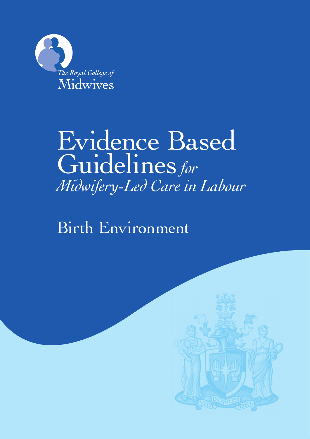

# Evidence Based Guidelines*for Midwifery-Led Care in Labour*

Birth Environment

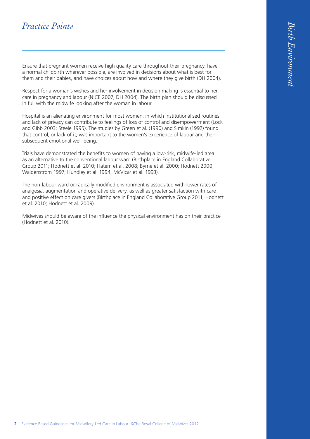## *Practice Points*

Ensure that pregnant women receive high quality care throughout their pregnancy, have a normal childbirth wherever possible, are involved in decisions about what is best for them and their babies, and have choices about how and where they give birth (DH 2004).

Respect for a woman's wishes and her involvement in decision making is essential to her care in pregnancy and labour (NICE 2007; DH 2004). The birth plan should be discussed in full with the midwife looking after the woman in labour.

Hospital is an alienating environment for most women, in which institutionalised routines and lack of privacy can contribute to feelings of loss of control and disempowerment (Lock and Gibb 2003; Steele 1995). The studies by Green et al. (1990) and Simkin (1992) found that control, or lack of it, was important to the women's experience of labour and their subsequent emotional well-being.

Trials have demonstrated the benefits to women of having a low-risk, midwife-led area as an alternative to the conventional labour ward (Birthplace in England Collaborative Group 2011; Hodnett et al. 2010; Hatem et al. 2008; Byrne et al. 2000; Hodnett 2000; Waldenstrom 1997; Hundley et al. 1994; McVicar et al. 1993).

The non-labour ward or radically modified environment is associated with lower rates of analgesia, augmentation and operative delivery, as well as greater satisfaction with care and positive effect on care givers (Birthplace in England Collaborative Group 2011; Hodnett et al. 2010; Hodnett et al. 2009).

Midwives should be aware of the influence the physical environment has on their practice (Hodnett et al. 2010).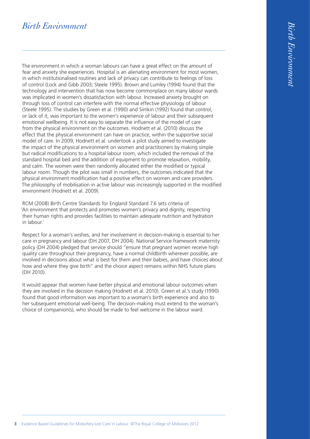# *Birth Environment*

The environment in which a woman labours can have a great effect on the amount of fear and anxiety she experiences. Hospital is an alienating environment for most women, in which institutionalised routines and lack of privacy can contribute to feelings of loss of control (Lock and Gibb 2003; Steele 1995). Brown and Lumley (1994) found that the technology and intervention that has now become commonplace on many labour wards was implicated in women's dissatisfaction with labour. Increased anxiety brought on through loss of control can interfere with the normal effective physiology of labour (Steele 1995). The studies by Green et al. (1990) and Simkin (1992) found that control, or lack of it, was important to the women's experience of labour and their subsequent emotional wellbeing. It is not easy to separate the influence of the model of care from the physical environment on the outcomes. Hodnett et al. (2010) discuss the effect that the physical environment can have on practice, within the supportive social model of care. In 2009, Hodnett et al. undertook a pilot study aimed to investigate the impact of the physical environment on women and practitioners by making simple but radical modifications to a hospital labour room, which included the removal of the standard hospital bed and the addition of equipment to promote relaxation, mobility, and calm. The women were then randomly allocated either the modified or typical labour room. Though the pilot was small in numbers, the outcomes indicated that the physical environment modification had a positive effect on women and care providers. The philosophy of mobilisation in active labour was increasingly supported in the modified environment (Hodnett et al. 2009).

RCM (2008) Birth Centre Standards for England Standard 7.6 sets criteria of 'An environment that protects and promotes women's privacy and dignity, respecting their human rights and provides facilities to maintain adequate nutrition and hydration in labour.'

Respect for a woman's wishes, and her involvement in decision-making is essential to her care in pregnancy and labour (DH 2007, DH 2004). National Service framework maternity policy (DH 2004) pledged that service should "ensure that pregnant women receive high quality care throughout their pregnancy, have a normal childbirth wherever possible, are involved in decisions about what is best for them and their babies, and have choices about how and where they give birth" and the choice aspect remains within NHS future plans (DH 2010).

It would appear that women have better physical and emotional labour outcomes when they are involved in the decision making (Hodnett et al. 2010). Green et al.'s study (1990) found that good information was important to a woman's birth experience and also to her subsequent emotional well-being. The decision-making must extend to the woman's choice of companion(s), who should be made to feel welcome in the labour ward.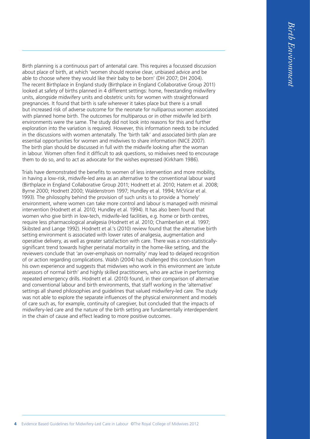Birth planning is a continuous part of antenatal care. This requires a focussed discussion about place of birth, at which 'women should receive clear, unbiased advice and be able to choose where they would like their baby to be born' (DH 2007; DH 2004). The recent Birthplace in England study (Birthplace in England Collaborative Group 2011) looked at safety of births planned in 4 different settings: home, freestanding midwifery units, alongside midwifery units and obstetric units for women with straightforward pregnancies. It found that birth is safe wherever it takes place but there is a small but increased risk of adverse outcome for the neonate for nulliparous women associated with planned home birth. The outcomes for multiparous or in other midwife led birth environments were the same. The study did not look into reasons for this and further exploration into the variation is required. However, this information needs to be included in the discussions with women antenatally. The 'birth talk' and associated birth plan are essential opportunities for women and midwives to share information (NICE 2007). The birth plan should be discussed in full with the midwife looking after the woman in labour. Women often find it difficult to ask questions, so midwives need to encourage them to do so, and to act as advocate for the wishes expressed (Kirkham 1986).

Trials have demonstrated the benefits to women of less intervention and more mobility, in having a low-risk, midwife-led area as an alternative to the conventional labour ward (Birthplace in England Collaborative Group 2011; Hodnett et al. 2010; Hatem et al. 2008; Byrne 2000; Hodnett 2000; Waldenstrom 1997; Hundley et al. 1994; McVicar et al. 1993). The philosophy behind the provision of such units is to provide a 'homely' environment, where women can take more control and labour is managed with minimal intervention (Hodnett et al. 2010; Hundley et al. 1994). It has also been found that women who give birth in low-tech, midwife-led facilities, e.g. home or birth centres, require less pharmacological analgesia (Hodnett et al. 2010; Chamberlain et al. 1997; Skibsted and Lange 1992). Hodnett et al.'s (2010) review found that the alternative birth setting environment is associated with lower rates of analgesia, augmentation and operative delivery, as well as greater satisfaction with care. There was a non-statisticallysignificant trend towards higher perinatal mortality in the home-like setting, and the reviewers conclude that 'an over-emphasis on normality' may lead to delayed recognition of or action regarding complications. Walsh (2004) has challenged this conclusion from his own experience and suggests that midwives who work in this environment are 'astute assessors of normal birth' and highly skilled practitioners, who are active in performing repeated emergency drills. Hodnett et al. (2010) found, in their comparison of alternative and conventional labour and birth environments, that staff working in the 'alternative' settings all shared philosophies and guidelines that valued midwifery-led care. The study was not able to explore the separate influences of the physical environment and models of care such as, for example, continuity of caregiver, but concluded that the impacts of midwifery-led care and the nature of the birth setting are fundamentally interdependent in the chain of cause and effect leading to more positive outcomes.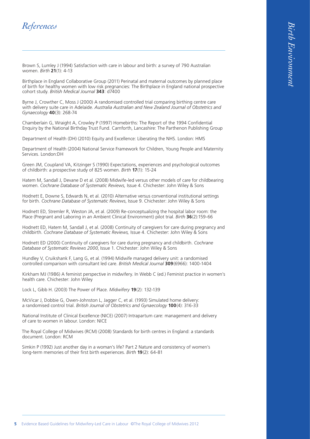## *References*

Brown S, Lumley J (1994) Satisfaction with care in labour and birth: a survey of 790 Australian women. *Birth* **21**(1): 4-13

Birthplace in England Collaborative Group (2011) Perinatal and maternal outcomes by planned place of birth for healthy women with low risk pregnancies: The Birthplace in England national prospective cohort study. *British Medical Journal* **343**: d7400

Byrne J, Crowther C, Moss J (2000) A randomised controlled trial comparing birthing centre care with delivery suite care in Adelaide. *Australia Australian and New Zealand Journal of Obstetrics and Gynaecology* **40**(3): 268-74

Chamberlain G, Wraight A, Crowley P (1997) Homebirths: The Report of the 1994 Confidential Enquiry by the National Birthday Trust Fund. Carnforth, Lancashire: The Parthenon Publishing Group

Department of Health (DH) (2010) Equity and Excellence: Liberating the NHS. London: HMS

Department of Health (2004) National Service Framework for Children, Young People and Maternity Services. London:DH

Green JM, Coupland VA, Kitzinger S (1990) Expectations, experiences and psychological outcomes of childbirth: a prospective study of 825 women. *Birth* **17**(1): 15-24

Hatem M, Sandall J, Devane D et al. (2008) Midwife-led versus other models of care for childbearing women. *Cochrane Database of Systematic Reviews,* Issue 4. Chichester: John Wiley & Sons

Hodnett E, Downe S, Edwards N, et al. (2010) Alternative versus conventional institutional settings for birth. *Cochrane Database of Systematic Reviews*, Issue 9. Chichester: John Wiley & Sons

Hodnett ED, Stremler R, Weston JA, et al. (2009) Re-conceptualizing the hospital labor room: the Place (Pregnant and Laboring in an Ambient Clinical Environment) pilot trial. *Birth* **36**(2):159-66

Hodnett ED, Hatem M, Sandall J, et al. (2008) Continuity of caregivers for care during pregnancy and childbirth. *Cochrane Database of Systematic Reviews,* Issue 4. Chichester: John Wiley & Sons

Hodnett ED (2000) Continuity of caregivers for care during pregnancy and childbirth. *Cochrane Database of Systematic Reviews 2000*, Issue 1. Chichester: John Wiley & Sons

Hundley V, Cruikshank F, Lang G, et al. (1994) Midwife managed delivery unit: a randomised controlled comparison with consultant led care. *British Medical Journal* **309**(6966): 1400-1404

Kirkham MJ (1986) A feminist perspective in midwifery. In Webb C (ed.) Feminist practice in women's health care. Chichester: John Wiley

Lock L, Gibb H. (2003) The Power of Place. *Midwifery* **19**(2): 132-139

McVicar J, Dobbie G, Owen-Johnston L, Jagger C, et al. (1993) Simulated home delivery: a randomised control trial. *British Journal of Obstetrics and Gynaecology* **100**(4): 316-33

National Institute of Clinical Excellence (NICE) (2007) Intrapartum care: management and delivery of care to women in labour. London: NICE

The Royal College of Midwives (RCM) (2008) Standards for birth centres in England: a standards document. London: RCM

Simkin P (1992) Just another day in a woman's life? Part 2 Nature and consistency of women's long-term memories of their first birth experiences. *Birth* **19**(2): 64-81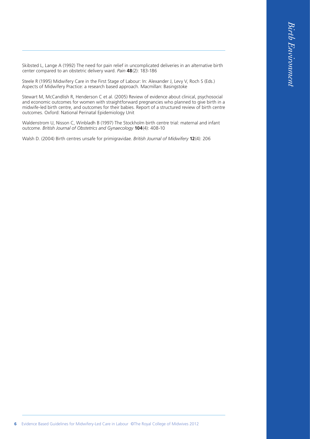Skibsted L, Lange A (1992) The need for pain relief in uncomplicated deliveries in an alternative birth center compared to an obstetric delivery ward. *Pain* **48**(2): 183-186

Steele R (1995) Midwifery Care in the First Stage of Labour: In: Alexander J, Levy V, Roch S (Eds.) Aspects of Midwifery Practice: a research based approach. Macmillan: Basingstoke

Stewart M, McCandlish R, Henderson C et al. (2005) Review of evidence about clinical, psychosocial and economic outcomes for women with straightforward pregnancies who planned to give birth in a midwife-led birth centre, and outcomes for their babies. Report of a structured review of birth centre outcomes. Oxford: National Perinatal Epidemiology Unit

Waldenstrom U, Nisson C, Winbladh B (1997) The Stockholm birth centre trial: maternal and infant outcome. *British Journal of Obstetrics and Gynaecology* **104**(4): 408-10

Walsh D. (2004) Birth centres unsafe for primigravidae. *British Journal of Midwifery* **12**(4): 206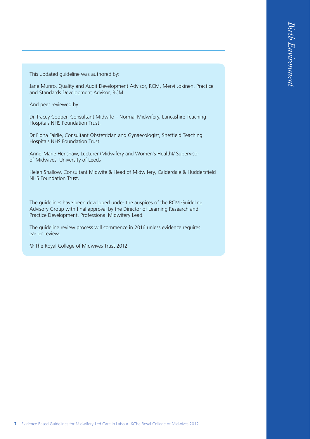This updated guideline was authored by:

Jane Munro, Quality and Audit Development Advisor, RCM, Mervi Jokinen, Practice and Standards Development Advisor, RCM

And peer reviewed by:

Dr Tracey Cooper, Consultant Midwife – Normal Midwifery, Lancashire Teaching Hospitals NHS Foundation Trust.

Dr Fiona Fairlie, Consultant Obstetrician and Gynaecologist, Sheffield Teaching Hospitals NHS Foundation Trust.

Anne-Marie Henshaw, Lecturer (Midwifery and Women's Health)/ Supervisor of Midwives, University of Leeds

Helen Shallow, Consultant Midwife & Head of Midwifery, Calderdale & Huddersfield NHS Foundation Trust.

The guidelines have been developed under the auspices of the RCM Guideline Advisory Group with final approval by the Director of Learning Research and Practice Development, Professional Midwifery Lead.

The guideline review process will commence in 2016 unless evidence requires earlier review.

© The Royal College of Midwives Trust 2012